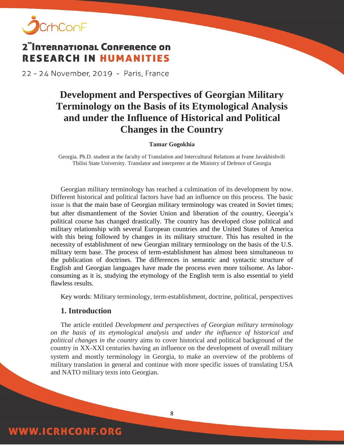

22 - 24 November, 2019 - Paris, France

## **Development and Perspectives of Georgian Military Terminology on the Basis of its Etymological Analysis and under the Influence of Historical and Political Changes in the Country**

**Tamar Gogokhia**

Georgia. Ph.D. student at the faculty of Translation and Intercultural Relations at Ivane Javakhishvili Tbilisi State University. Translator and interpreter at the Ministry of Defence of Georgia

Georgian military terminology has reached a culmination of its development by now. Different historical and political factors have had an influence on this process. The basic issue is that the main base of Georgian military terminology was created in Soviet times; but after dismantlement of the Soviet Union and liberation of the country, Georgia's political course has changed drastically. The country has developed close political and military relationship with several European countries and the United States of America with this being followed by changes in its military structure. This has resulted in the necessity of establishment of new Georgian military terminology on the basis of the U.S. military term base. The process of term-establishment has almost been simultaneous to the publication of doctrines. The differences in semantic and syntactic structure of English and Georgian languages have made the process even more toilsome. As laborconsuming as it is, studying the etymology of the English term is also essential to yield flawless results.

Key words: Military terminology, term-establishment, doctrine, political, perspectives

#### **1. Introduction**

**WWW.ICRHCONF.ORG** 

The article entitled *Development and perspectives of Georgian military terminology on the basis of its etymological analysis and under the influence of historical and political changes in the country* aims to cover historical and political background of the country in XX-XXI centuries having an influence on the development of overall military system and mostly terminology in Georgia, to make an overview of the problems of military translation in general and continue with more specific issues of translating USA and NATO military texts into Georgian.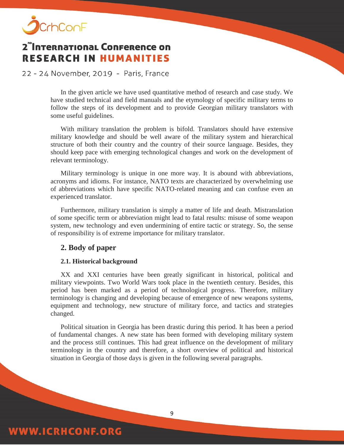

22 - 24 November, 2019 - Paris, France

In the given article we have used quantitative method of research and case study. We have studied technical and field manuals and the etymology of specific military terms to follow the steps of its development and to provide Georgian military translators with some useful guidelines.

With military translation the problem is bifold. Translators should have extensive military knowledge and should be well aware of the military system and hierarchical structure of both their country and the country of their source language. Besides, they should keep pace with emerging technological changes and work on the development of relevant terminology.

Military terminology is unique in one more way. It is abound with abbreviations, acronyms and idioms. For instance, NATO texts are characterized by overwhelming use of abbreviations which have specific NATO-related meaning and can confuse even an experienced translator.

Furthermore, military translation is simply a matter of life and death. Mistranslation of some specific term or abbreviation might lead to fatal results: misuse of some weapon system, new technology and even undermining of entire tactic or strategy. So, the sense of responsibility is of extreme importance for military translator.

#### **2. Body of paper**

#### **2.1. Historical background**

XX and XXI centuries have been greatly significant in historical, political and military viewpoints. Two World Wars took place in the twentieth century. Besides, this period has been marked as a period of technological progress. Therefore, military terminology is changing and developing because of emergence of new weapons systems, equipment and technology, new structure of military force, and tactics and strategies changed.

Political situation in Georgia has been drastic during this period. It has been a period of fundamental changes. A new state has been formed with developing military system and the process still continues. This had great influence on the development of military terminology in the country and therefore, a short overview of political and historical situation in Georgia of those days is given in the following several paragraphs.

9

### **WWW.ICRHCONF.ORG**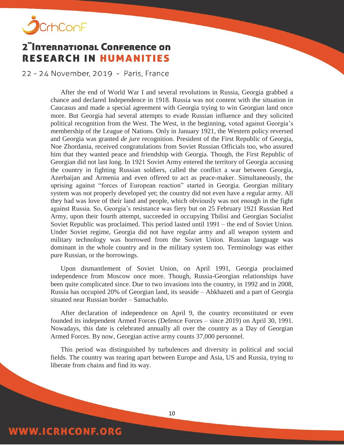

22 - 24 November, 2019 - Paris, France

After the end of World War I and several revolutions in Russia, Georgia grabbed a chance and declared Independence in 1918. Russia was not content with the situation in Caucasus and made a special agreement with Georgia trying to win Georgian land once more. But Georgia had several attempts to evade Russian influence and they solicited political recognition from the West. The West, in the beginning, voted against Georgia's membership of the League of Nations. Only in January 1921, the Western policy reversed and Georgia was granted *de jure* recognition. President of the First Republic of Georgia, Noe Zhordania, received congratulations from Soviet Russian Officials too, who assured him that they wanted peace and friendship with Georgia. Though, the First Republic of Georgian did not last long. In 1921 Soviet Army entered the territory of Georgia accusing the country in fighting Russian soldiers, called the conflict a war between Georgia, Azerbaijan and Armenia and even offered to act as peace-maker. Simultaneously, the uprising against "forces of European reaction" started in Georgia. Georgian military system was not properly developed yet; the country did not even have a regular army. All they had was love of their land and people, which obviously was not enough in the fight against Russia. So, Georgia's resistance was fiery but on 25 February 1921 Russian Red Army, upon their fourth attempt, succeeded in occupying Tbilisi and Georgian Socialist Soviet Republic was proclaimed. This period lasted until 1991 – the end of Soviet Union. Under Soviet regime, Georgia did not have regular army and all weapon system and military technology was borrowed from the Soviet Union. Russian language was dominant in the whole country and in the military system too. Terminology was either pure Russian, or the borrowings.

Upon dismantlement of Soviet Union, on April 1991, Georgia proclaimed independence from Moscow once more. Though, Russia-Georgian relationships have been quite complicated since. Due to two invasions into the country, in 1992 and in 2008, Russia has occupied 20% of Georgian land, its seaside – Abkhazeti and a part of Georgia situated near Russian border – Samachablo.

After declaration of independence on April 9, the country reconstituted or even founded its independent Armed Forces (Defence Forces – since 2019) on April 30, 1991. Nowadays, this date is celebrated annually all over the country as a Day of Georgian Armed Forces. By now, Georgian active army counts 37,000 personnel.

This period was distinguished by turbulences and diversity in political and social fields. The country was tearing apart between Europe and Asia, US and Russia, trying to liberate from chains and find its way.

## **WWW.ICRHCONF.ORG**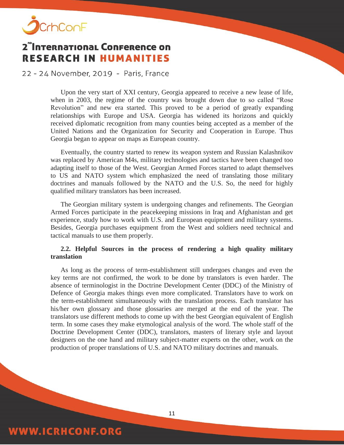

**WWW.ICRHCONF.ORG** 

## 2<sup>"</sup>International Conference on **RESEARCH IN HUMANITIES**

22 - 24 November, 2019 - Paris, France

Upon the very start of XXI century, Georgia appeared to receive a new lease of life, when in 2003, the regime of the country was brought down due to so called "Rose Revolution" and new era started. This proved to be a period of greatly expanding relationships with Europe and USA. Georgia has widened its horizons and quickly received diplomatic recognition from many counties being accepted as a member of the United Nations and the Organization for Security and Cooperation in Europe. Thus Georgia began to appear on maps as European country.

Eventually, the country started to renew its weapon system and Russian Kalashnikov was replaced by American M4s, military technologies and tactics have been changed too adapting itself to those of the West. Georgian Armed Forces started to adapt themselves to US and NATO system which emphasized the need of translating those military doctrines and manuals followed by the NATO and the U.S. So, the need for highly qualified military translators has been increased.

The Georgian military system is undergoing changes and refinements. The Georgian Armed Forces participate in the peacekeeping missions in Iraq and Afghanistan and get experience, study how to work with U.S. and European equipment and military systems. Besides, Georgia purchases equipment from the West and soldiers need technical and tactical manuals to use them properly.

#### **2.2. Helpful Sources in the process of rendering a high quality military translation**

As long as the process of term-establishment still undergoes changes and even the key terms are not confirmed, the work to be done by translators is even harder. The absence of terminologist in the Doctrine Development Center (DDC) of the Ministry of Defence of Georgia makes things even more complicated. Translators have to work on the term-establishment simultaneously with the translation process. Each translator has his/her own glossary and those glossaries are merged at the end of the year. The translators use different methods to come up with the best Georgian equivalent of English term. In some cases they make etymological analysis of the word. The whole staff of the Doctrine Development Center (DDC), translators, masters of literary style and layout designers on the one hand and military subject-matter experts on the other, work on the production of proper translations of U.S. and NATO military doctrines and manuals.

#### 11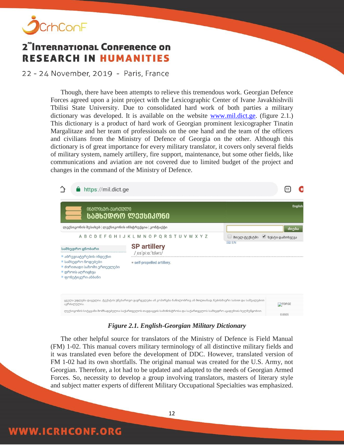

**WWW.ICRHCONF.ORG** 

## 2<sup>"</sup>International Conference on **RESEARCH IN HUMANITIES**

22 - 24 November, 2019 - Paris, France

Though, there have been attempts to relieve this tremendous work. Georgian Defence Forces agreed upon a joint project with the Lexicographic Center of Ivane Javakhishvili Tbilisi State University. Due to consolidated hard work of both parties a military dictionary was developed. It is available on the website [www.mil.dict.ge.](http://www.mil.dict.ge/) (figure 2.1.) This dictionary is a product of hard work of Georgian prominent lexicographer Tinatin Margalitaze and her team of professionals on the one hand and the team of the officers and civilians from the Ministry of Defence of Georgia on the other. Although this dictionary is of great importance for every military translator, it covers only several fields of military system, namely artillery, fire support, maintenance, but some other fields, like communications and aviation are not covered due to limited budget of the project and changes in the command of the Ministry of Defence.

| $\bullet$ https://mil.dict.ge<br>ᲘᲜᲒᲚᲘᲡᲣᲠ-ᲥᲐᲠᲗᲣᲚᲘ                                                                         | ᲡᲐᲛᲮᲔᲓ <b>ᲠᲝ ᲚᲔ</b> ᲥᲡᲘᲙᲝᲜᲘ                                                                                           |                             | English           |
|---------------------------------------------------------------------------------------------------------------------------|-----------------------------------------------------------------------------------------------------------------------|-----------------------------|-------------------|
| ლექსიკონის შესახებ ლექსიკონის ინსტრუქცია კონტაქტი                                                                         |                                                                                                                       |                             | ძიება             |
| სამხედრო ცნობარი                                                                                                          | A B C D E F G H I J K L M N O P Q R S T U V W X Y Z<br><b>SP artillery</b>                                            | □ მთელ ტექსტში<br><b>EN</b> | ● ზუსტი დამთხვევა |
| ■ აბრევიატურების ინდექსი<br>■ სამხედრო წოდებები<br>■ ძირითადი საზომი ერთეულები<br>■ დროის აღრიცხვა<br>■ ფონეტიკური ანბანი | /es/pi:a:'tɪlərɪ/<br>= self-propelled artillery.                                                                      |                             |                   |
| აკრძალულია.                                                                                                               | ყველა უფლება დაცულია. ტექსტის უნებართვო გავრცელება ან კოპირება ნაწილობრივ ან მთლიანად, ნებისმიერი სახით და საშუალებით |                             | <b>ATOP.GE</b>    |
|                                                                                                                           | ლექსიკონის სიტყვანი მომზადებულია საქართველოს თავდაცვის სამინისტროსა და საქართველოს სამხედრო აკადემიის ხელშეწყობით.    |                             | 0.0505            |

#### *Figure 2.1. English-Georgian Military Dictionary*

The other helpful source for translators of the Ministry of Defence is Field Manual (FM) 1-02. This manual covers military terminology of all distinctive military fields and it was translated even before the development of DDC. However, translated version of FM 1-02 had its own shortfalls. The original manual was created for the U.S. Army, not Georgian. Therefore, a lot had to be updated and adapted to the needs of Georgian Armed Forces. So, necessity to develop a group involving translators, masters of literary style and subject matter experts of different Military Occupational Specialties was emphasized.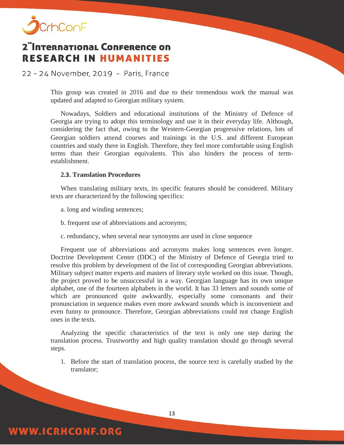

22 - 24 November, 2019 - Paris, France

This group was created in 2016 and due to their tremendous work the manual was updated and adapted to Georgian military system.

Nowadays, Soldiers and educational institutions of the Ministry of Defence of Georgia are trying to adopt this terminology and use it in their everyday life. Although, considering the fact that, owing to the Western-Georgian progressive relations, lots of Georgian soldiers attend courses and trainings in the U.S. and different European countries and study there in English. Therefore, they feel more comfortable using English terms than their Georgian equivalents. This also hinders the process of termestablishment.

#### **2.3. Translation Procedures**

When translating military texts, its specific features should be considered. Military texts are characterized by the following specifics:

a. long and winding sentences;

**WWW.ICRHCONF.ORG** 

b. frequent use of abbreviations and acronyms;

c. redundancy, when several near synonyms are used in close sequence

Frequent use of abbreviations and acronyms makes long sentences even longer. Doctrine Development Center (DDC) of the Ministry of Defence of Georgia tried to resolve this problem by development of the list of corresponding Georgian abbreviations. Military subject matter experts and masters of literary style worked on this issue. Though, the project proved to be unsuccessful in a way. Georgian language has its own unique alphabet, one of the fourteen alphabets in the world. It has 33 letters and sounds some of which are pronounced quite awkwardly, especially some consonants and their pronunciation in sequence makes even more awkward sounds which is inconvenient and even funny to pronounce. Therefore, Georgian abbreviations could not change English ones in the texts.

Analyzing the specific characteristics of the text is only one step during the translation process. Trustworthy and high quality translation should go through several steps.

1. Before the start of translation process, the source text is carefully studied by the translator;

13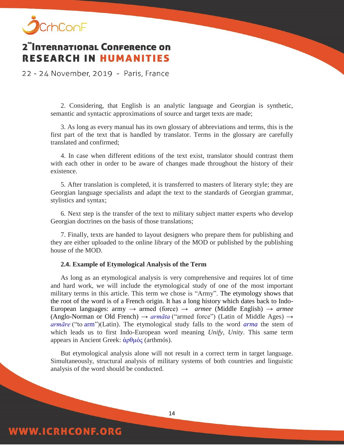

22 - 24 November, 2019 - Paris, France

2. Considering, that English is an analytic language and Georgian is synthetic, semantic and syntactic approximations of source and target texts are made;

3. As long as every manual has its own glossary of abbreviations and terms, this is the first part of the text that is handled by translator. Terms in the glossary are carefully translated and confirmed;

4. In case when different editions of the text exist, translator should contrast them with each other in order to be aware of changes made throughout the history of their existence.

5. After translation is completed, it is transferred to masters of literary style; they are Georgian language specialists and adapt the text to the standards of Georgian grammar, stylistics and syntax;

6. Next step is the transfer of the text to military subject matter experts who develop Georgian doctrines on the basis of those translations;

7. Finally, texts are handed to layout designers who prepare them for publishing and they are either uploaded to the online library of the MOD or published by the publishing house of the MOD.

#### **2.4. Example of Etymological Analysis of the Term**

As long as an etymological analysis is very comprehensive and requires lot of time and hard work, we will include the etymological study of one of the most important military terms in this article. This term we chose is "Army". The etymology shows that the root of the word is of a French origin. It has a long history which dates back to Indo-European languages: army → armed (force) → *[armee](https://en.wiktionary.org/wiki/armee#Middle_English)* (Middle English) → *[armee](https://en.wiktionary.org/wiki/armee#Old_French)* (Anglo-Norman or Old French)  $\rightarrow$  *[armāta](https://en.wiktionary.org/wiki/armata#Latin)* ("armed force") (Latin of Middle Ages)  $\rightarrow$ *[armāre](https://en.wiktionary.org/wiki/armare#Latin)* ("to [arm"](https://en.wiktionary.org/wiki/arm))(Latin). The etymological study falls to the word *[arma](https://en.wiktionary.org/wiki/arma#Latin)* the stem of which leads us to first Indo-European word meaning *Unify, Unity*. This same term appears in Ancient Greek: [ἀρθμός](https://en.wiktionary.org/wiki/%E1%BC%80%CF%81%CE%B8%CE%BC%CF%8C%CF%82#Ancient_Greek) (arthmós).

But etymological analysis alone will not result in a correct term in target language. Simultaneously, structural analysis of military systems of both countries and linguistic analysis of the word should be conducted.

14

### **WWW.ICRHCONF.ORG**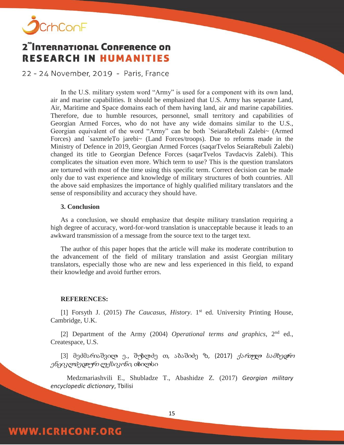

22 - 24 November, 2019 - Paris, France

In the U.S. military system word "Army" is used for a component with its own land, air and marine capabilities. It should be emphasized that U.S. Army has separate Land, Air, Maritime and Space domains each of them having land, air and marine capabilities. Therefore, due to humble resources, personnel, small territory and capabilities of Georgian Armed Forces, who do not have any wide domains similar to the U.S., Georgian equivalent of the word "Army" can be both `SeiaraRebuli Zalebi~ (Armed Forces) and `saxmeleTo jarebi~ (Land Forces/troops). Due to reforms made in the Ministry of Defence in 2019, Georgian Armed Forces (saqarTvelos SeiaraRebuli Zalebi) changed its title to Georgian Defence Forces (saqarTvelos Tavdacvis Zalebi). This complicates the situation even more. Which term to use? This is the question translators are tortured with most of the time using this specific term. Correct decision can be made only due to vast experience and knowledge of military structures of both countries. All the above said emphasizes the importance of highly qualified military translators and the sense of responsibility and accuracy they should have.

#### **3. Conclusion**

As a conclusion, we should emphasize that despite military translation requiring a high degree of accuracy, word-for-word translation is unacceptable because it leads to an awkward transmission of a message from the source text to the target text.

The author of this paper hopes that the article will make its moderate contribution to the advancement of the field of military translation and assist Georgian military translators, especially those who are new and less experienced in this field, to expand their knowledge and avoid further errors.

#### **REFERENCES:**

**WWW.ICRHCONF.ORG** 

[1] Forsyth J. (2015) *The Caucasus, History*. 1<sup>st</sup> ed. University Printing House, Cambridge, U.K.

[2] Department of the Army (2004) *Operational terms and graphics*, 2nd ed., Createspace, U.S.

[3] მეძმარიაშვილი ე., შუბლაძე თ., აბაშიძე ზ., (2017) ქართული სამხედრო *ენციკლ<del>ა</del>ედიურ ლექსიკონი,* თბილსი

 Medzmariashvili E., Shubladze T., Abashidze Z. (2017) *Georgian military encyclopedic dictionary*, Tbilisi

15